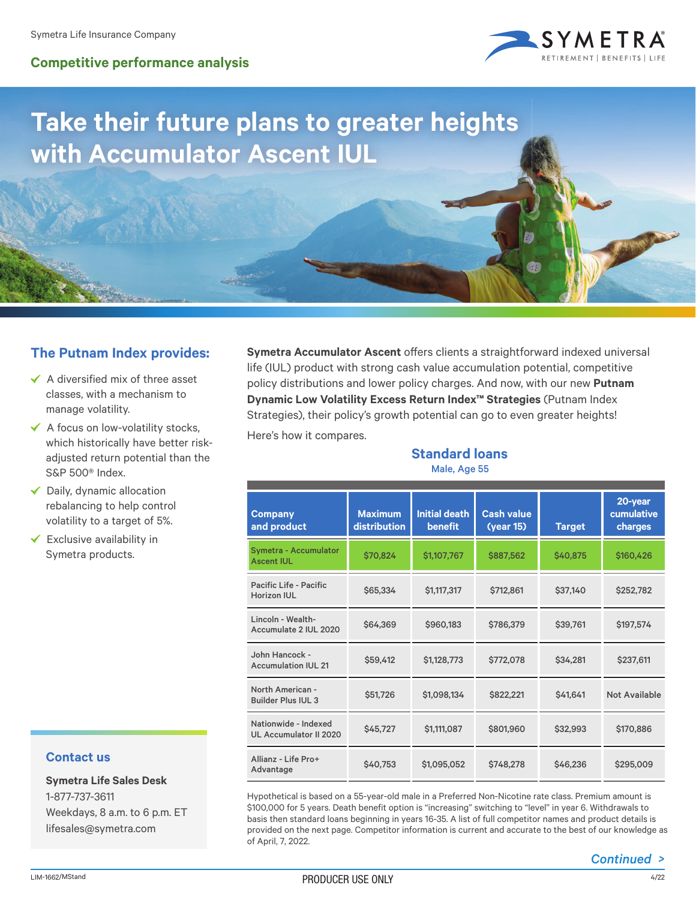## **Competitive performance analysis**



## **Take their future plans to greater heights with Accumulator Ascent IUL**

## **The Putnam Index provides:**

- $\checkmark$  A diversified mix of three asset classes, with a mechanism to manage volatility.
- $\checkmark$  A focus on low-volatility stocks, which historically have better riskadjusted return potential than the S&P 500® Index.
- $\checkmark$  Daily, dynamic allocation rebalancing to help control volatility to a target of 5%.
- $\checkmark$  Exclusive availability in Symetra products.

**Symetra Accumulator Ascent** offers clients a straightforward indexed universal life (IUL) product with strong cash value accumulation potential, competitive policy distributions and lower policy charges. And now, with our new **Putnam Dynamic Low Volatility Excess Return Index™ Strategies** (Putnam Index Strategies), their policy's growth potential can go to even greater heights!

Here's how it compares.

**Standard loans** Male, Age 55

| <b>Company</b><br>and product                         | <b>Maximum</b><br>distribution | <b>Initial death</b><br>benefit | <b>Cash value</b><br>(year 15) | <b>Target</b> | 20-year<br>cumulative<br>charges |
|-------------------------------------------------------|--------------------------------|---------------------------------|--------------------------------|---------------|----------------------------------|
| Symetra - Accumulator<br><b>Ascent IUL</b>            | \$70,824                       | \$1,107,767                     | \$887,562                      | \$40,875      | \$160,426                        |
| Pacific Life - Pacific<br><b>Horizon IUL</b>          | \$65,334                       | \$1,117,317                     | \$712,861                      | \$37,140      | \$252,782                        |
| Lincoln - Wealth-<br>Accumulate 2 IUL 2020            | \$64,369                       | \$960,183                       | \$786,379                      | \$39,761      | \$197,574                        |
| John Hancock -<br><b>Accumulation IUL 21</b>          | \$59,412                       | \$1,128,773                     | \$772,078                      | \$34,281      | \$237,611                        |
| North American -<br><b>Builder Plus IUL 3</b>         | \$51,726                       | \$1,098,134                     | \$822,221                      | \$41,641      | <b>Not Available</b>             |
| Nationwide - Indexed<br><b>UL Accumulator II 2020</b> | \$45,727                       | \$1,111,087                     | \$801,960                      | \$32,993      | \$170,886                        |
| Allianz - Life Pro+<br>Advantage                      | \$40,753                       | \$1,095,052                     | \$748.278                      | \$46,236      | \$295,009                        |
|                                                       |                                |                                 |                                |               |                                  |

Hypothetical is based on a 55-year-old male in a Preferred Non-Nicotine rate class. Premium amount is Hypothetical is based on a 55-year-old male in a Preferred Non-Nicotine rate class. Premium amount is<br>\$100,000 for 5 years. Death benefit option is "increasing" switching to "level" in year 6. Withdrawals to basis then standard loans beginning in years 16-35. A list of full competitor names and product details is provided on the next page. Competitor information is current and accurate to the best of our knowledge as of April, 7, 2022.

**Symetra Life Sales Desk** 1-877-737-3611 Weekdays, 8 a.m. to 6 p.m. ET lifesales@symetra.com